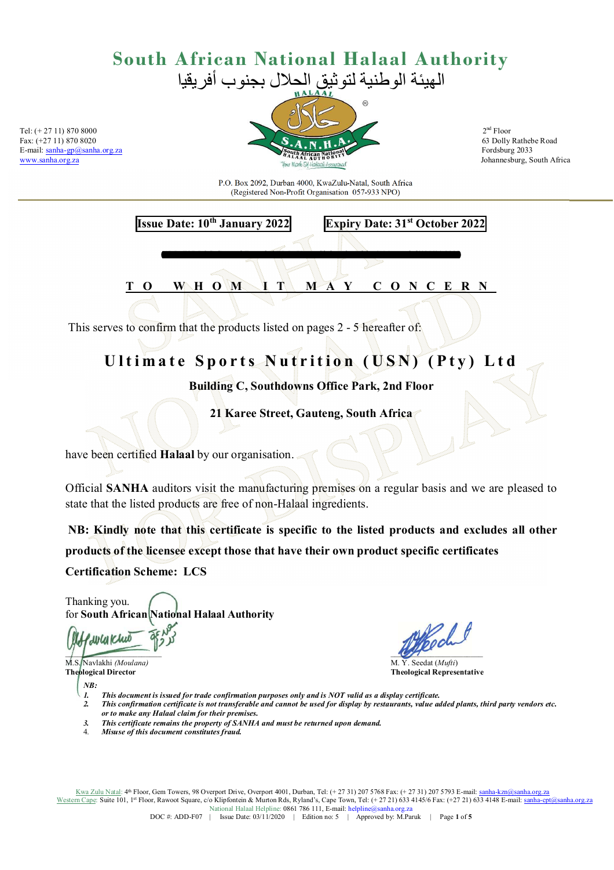Fax: (+27 11) 870 8020



P.O. Box 2092, Durban 4000, KwaZulu-Natal, South Africa (Registered Non-Profit Organisation 057-933 NPO)

**Issue Date: 10th January 2022 Expiry Date: 31st October 2022** 

WHO M I T M A Y C O N C E R N

*ADD-F07-LOC-General Extended ED5***:** *Usn – Globepak~ ad-loc/AM-mys-fgd/105/01.2022* 

This serves to confirm that the products listed on pages 2 - 5 hereafter of:

### Ultimate Sports Nutrition (USN) (Pty) Ltd

**Building C, Southdowns Office Park, 2nd Floor** 

**21 Karee Street, Gauteng, South Africa**

have been certified **Halaal** by our organisation.

Official **SANHA** auditors visit the manufacturing premises on a regular basis and we are pleased to state that the listed products are free of non-Halaal ingredients.

 **NB: Kindly note that this certificate is specific to the listed products and excludes all other products of the licensee except those that have their own product specific certificates Certification Scheme: LCS** 

Thanking you. for **South African National Halaal Authority** 

**LWWCWU**  $\overline{\phantom{a}}$ 

M.S. Navlakhi *(Moulana)* **M.S. Navlakhi** *(Moulana)* **M.Y. Seedat (***Mufti***) Theological Director** 

*NB:* 

**Theological Representative** 

- *1. This document is issued for trade confirmation purposes only and is NOT valid as a display certificate.* 
	- *2. This confirmation certificate is not transferable and cannot be used for display by restaurants, value added plants, third party vendors etc. or to make any Halaal claim for their premises.*
- *3. This certificate remains the property of SANHA and must be returned upon demand.*
- 4. *Misuse of this document constitutes fraud.*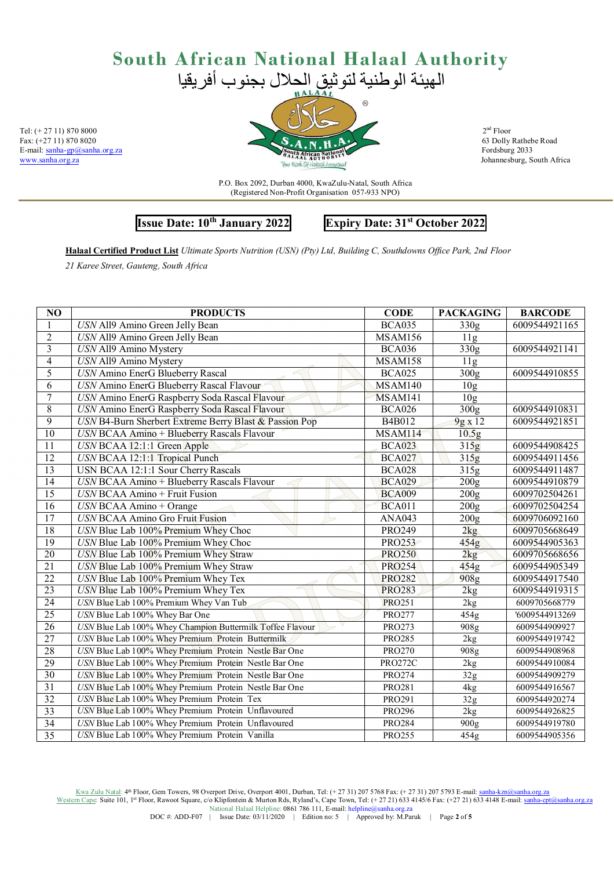

P.O. Box 2092, Durban 4000, KwaZulu-Natal, South Africa (Registered Non-Profit Organisation 057-933 NPO)

### **Issue Date: 10th January 2022 Expiry Date: 31st October 2022**

**Halaal Certified Product List** *Ultimate Sports Nutrition (USN) (Pty) Ltd, Building C, Southdowns Office Park, 2nd Floor* 

*21 Karee Street, Gauteng, South Africa* 

| NO              | <b>PRODUCTS</b>                                           | <b>CODE</b>    | <b>PACKAGING</b>  | <b>BARCODE</b> |
|-----------------|-----------------------------------------------------------|----------------|-------------------|----------------|
|                 | USN All9 Amino Green Jelly Bean                           | <b>BCA035</b>  | $\overline{330g}$ | 6009544921165  |
| $\overline{2}$  | USN All9 Amino Green Jelly Bean                           | MSAM156        | 11g               |                |
| $\overline{3}$  | USN All9 Amino Mystery                                    | <b>BCA036</b>  | 330g              | 6009544921141  |
| $\overline{4}$  | USN All9 Amino Mystery                                    | <b>MSAM158</b> | 11g               |                |
| 5               | <b>USN</b> Amino EnerG Blueberry Rascal                   | <b>BCA025</b>  | $\overline{300g}$ | 6009544910855  |
| 6               | USN Amino EnerG Blueberry Rascal Flavour                  | MSAM140        | 10 <sub>g</sub>   |                |
| $\overline{7}$  | USN Amino EnerG Raspberry Soda Rascal Flavour             | MSAM141        | 10 <sub>g</sub>   |                |
| $\overline{8}$  | USN Amino EnerG Raspberry Soda Rascal Flavour             | <b>BCA026</b>  | 300 <sub>g</sub>  | 6009544910831  |
| $\overline{9}$  | USN B4-Burn Sherbert Extreme Berry Blast & Passion Pop    | B4B012         | 9g x 12           | 6009544921851  |
| $\overline{10}$ | USN BCAA Amino + Blueberry Rascals Flavour                | MSAM114        | 10.5g             |                |
| $\overline{11}$ | USN BCAA 12:1:1 Green Apple                               | <b>BCA023</b>  | 315g              | 6009544908425  |
| $\overline{12}$ | USN BCAA 12:1:1 Tropical Punch                            | <b>BCA027</b>  | 315g              | 6009544911456  |
| 13              | USN BCAA 12:1:1 Sour Cherry Rascals                       | <b>BCA028</b>  | 315g              | 6009544911487  |
| 14              | USN BCAA Amino + Blueberry Rascals Flavour                | <b>BCA029</b>  | 200g              | 6009544910879  |
| $\overline{15}$ | <b>USN BCAA Amino</b> + Fruit Fusion                      | <b>BCA009</b>  | $\overline{200g}$ | 6009702504261  |
| $\overline{16}$ | $USN$ BCAA Amino + Orange                                 | <b>BCA011</b>  | 200g              | 6009702504254  |
| $\overline{17}$ | <b>USN BCAA Amino Gro Fruit Fusion</b>                    | <b>ANA043</b>  | 200 <sub>g</sub>  | 6009706092160  |
| $\overline{18}$ | USN Blue Lab 100% Premium Whey Choc                       | PRO249         | 2kg               | 6009705668649  |
| $\overline{19}$ | USN Blue Lab 100% Premium Whey Choc                       | <b>PRO253</b>  | 454g              | 6009544905363  |
| 20              | USN Blue Lab 100% Premium Whey Straw                      | <b>PRO250</b>  | 2kg               | 6009705668656  |
| $\overline{21}$ | USN Blue Lab 100% Premium Whey Straw                      | <b>PRO254</b>  | 454g              | 6009544905349  |
| $\overline{22}$ | USN Blue Lab 100% Premium Whey Tex                        | <b>PRO282</b>  | 908 <sub>g</sub>  | 6009544917540  |
| $\overline{23}$ | USN Blue Lab 100% Premium Whey Tex                        | <b>PRO283</b>  | 2kg               | 6009544919315  |
| 24              | USN Blue Lab 100% Premium Whey Van Tub                    | <b>PRO251</b>  | 2kg               | 6009705668779  |
| $\overline{25}$ | USN Blue Lab 100% Whey Bar One                            | <b>PRO277</b>  | 454g              | '6009544913269 |
| $\overline{26}$ | USN Blue Lab 100% Whey Champion Buttermilk Toffee Flavour | <b>PRO273</b>  | 908g              | 6009544909927  |
| $\overline{27}$ | USN Blue Lab 100% Whey Premium Protein Buttermilk         | <b>PRO285</b>  | 2kg               | 6009544919742  |
| 28              | USN Blue Lab 100% Whey Premium Protein Nestle Bar One     | <b>PRO270</b>  | 908g              | 6009544908968  |
| 29              | USN Blue Lab 100% Whey Premium Protein Nestle Bar One     | <b>PRO272C</b> | 2kg               | 6009544910084  |
| $\overline{30}$ | USN Blue Lab 100% Whey Premium Protein Nestle Bar One     | <b>PRO274</b>  | 32g               | 6009544909279  |
| $\overline{31}$ | USN Blue Lab 100% Whey Premium Protein Nestle Bar One     | <b>PRO281</b>  | 4 <sub>kg</sub>   | 6009544916567  |
| $\overline{32}$ | USN Blue Lab 100% Whey Premium Protein Tex                | PRO291         | 32g               | 6009544920274  |
| 33              | USN Blue Lab 100% Whey Premium Protein Unflavoured        | <b>PRO296</b>  | 2kg               | 6009544926825  |
| 34              | USN Blue Lab 100% Whey Premium Protein Unflavoured        | <b>PRO284</b>  | 900g              | 6009544919780  |
| 35              | USN Blue Lab 100% Whey Premium Protein Vanilla            | PRO255         | 454g              | 6009544905356  |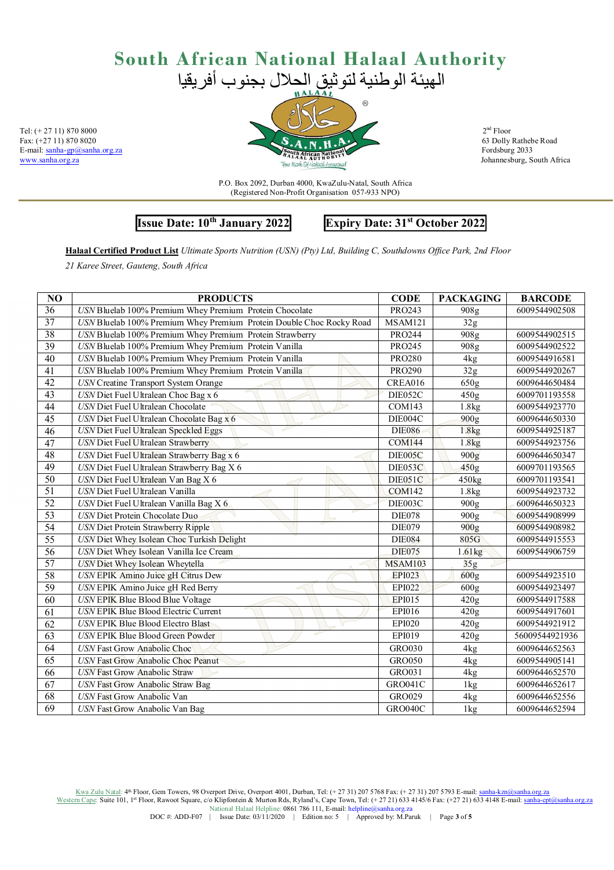

P.O. Box 2092, Durban 4000, KwaZulu-Natal, South Africa (Registered Non-Profit Organisation 057-933 NPO)

### **Issue Date: 10th January 2022 Expiry Date: 31st October 2022**

**Halaal Certified Product List** *Ultimate Sports Nutrition (USN) (Pty) Ltd, Building C, Southdowns Office Park, 2nd Floor* 

*21 Karee Street, Gauteng, South Africa* 

| NO              | <b>PRODUCTS</b>                                                      | <b>CODE</b>    | <b>PACKAGING</b>  | <b>BARCODE</b> |
|-----------------|----------------------------------------------------------------------|----------------|-------------------|----------------|
| 36              | USN Bluelab 100% Premium Whey Premium Protein Chocolate              | PRO243         | 908g              | 6009544902508  |
| 37              | USN Bluelab 100% Premium Whey Premium Protein Double Choc Rocky Road | MSAM121        | 32g               |                |
| 38              | USN Bluelab 100% Premium Whey Premium Protein Strawberry             | <b>PRO244</b>  | 908g              | 6009544902515  |
| 39              | USN Bluelab 100% Premium Whey Premium Protein Vanilla                | <b>PRO245</b>  | 908g              | 6009544902522  |
| 40              | USN Bluelab 100% Premium Whey Premium Protein Vanilla                | <b>PRO280</b>  | 4 <sub>kg</sub>   | 6009544916581  |
| $\overline{41}$ | USN Bluelab 100% Premium Whey Premium Protein Vanilla                | <b>PRO290</b>  | 32g               | 6009544920267  |
| 42              | <b>USN Creatine Transport System Orange</b>                          | CREA016        | 650 <sub>g</sub>  | 6009644650484  |
| $\overline{43}$ | USN Diet Fuel Ultralean Choc Bag x 6                                 | DIE052C        | 450 <sub>g</sub>  | 6009701193558  |
| 44              | USN Diet Fuel Ultralean Chocolate                                    | COM143         | 1.8 <sub>kg</sub> | 6009544923770  |
| 45              | USN Diet Fuel Ultralean Chocolate Bag x 6<br>ali                     | DIE004C        | 900 <sub>g</sub>  | 6009644650330  |
| $\overline{46}$ | USN Diet Fuel Ultralean Speckled Eggs<br>لتبرد                       | <b>DIE086</b>  | 1.8kg             | 6009544925187  |
| 47              | <b>USN</b> Diet Fuel Ultralean Strawberry                            | COM144         | 1.8kg             | 6009544923756  |
| 48              | USN Diet Fuel Ultralean Strawberry Bag x 6                           | DIE005C        | 900 <sub>g</sub>  | 6009644650347  |
| 49              | USN Diet Fuel Ultralean Strawberry Bag X 6                           | DIE053C        | 450g              | 6009701193565  |
| $\overline{50}$ | USN Diet Fuel Ultralean Van Bag X 6                                  | DIE051C        | 450kg             | 6009701193541  |
| $\overline{51}$ | USN Diet Fuel Ultralean Vanilla                                      | <b>COM142</b>  | 1.8kg             | 6009544923732  |
| 52              | USN Diet Fuel Ultralean Vanilla Bag X 6                              | DIE003C        | 900g              | 6009644650323  |
| 53              | USN Diet Protein Chocolate Duo                                       | <b>DIE078</b>  | 900g              | 6009544908999  |
| 54              | <b>USN Diet Protein Strawberry Ripple</b>                            | <b>DIE079</b>  | 900 <sub>g</sub>  | 6009544908982  |
| 55              | USN Diet Whey Isolean Choc Turkish Delight                           | <b>DIE084</b>  | 805G              | 6009544915553  |
| 56              | USN Diet Whey Isolean Vanilla Ice Cream                              | <b>DIE075</b>  | 1.61kg            | 6009544906759  |
| $\overline{57}$ | USN Diet Whey Isolean Wheytella                                      | <b>MSAM103</b> | 35g               |                |
| $\overline{58}$ | USN EPIK Amino Juice gH Citrus Dew                                   | <b>EPI023</b>  | 600 <sub>g</sub>  | 6009544923510  |
| $\overline{59}$ | USN EPIK Amino Juice gH Red Berry                                    | EPI022         | 600 <sub>g</sub>  | 6009544923497  |
| 60              | USN EPIK Blue Blood Blue Voltage                                     | EPI015         | 420g              | 6009544917588  |
| $\overline{61}$ | <b>USN EPIK Blue Blood Electric Current</b>                          | EPI016         | 420g              | 6009544917601  |
| 62              | USN EPIK Blue Blood Electro Blast                                    | <b>EPI020</b>  | 420g              | 6009544921912  |
| 63              | <b>SOF</b><br>USN EPIK Blue Blood Green Powder                       | EPI019         | 420g              | 56009544921936 |
| 64              | USN Fast Grow Anabolic Choc                                          | <b>GRO030</b>  | 4 <sub>kg</sub>   | 6009644652563  |
| 65              | USN Fast Grow Anabolic Choc Peanut                                   | <b>GRO050</b>  | 4 <sub>kg</sub>   | 6009544905141  |
| 66              | <b>USN</b> Fast Grow Anabolic Straw                                  | GRO031         | 4kg               | 6009644652570  |
| 67              | USN Fast Grow Anabolic Straw Bag                                     | <b>GRO041C</b> | 1kg               | 6009644652617  |
| $\overline{68}$ | <b>USN</b> Fast Grow Anabolic Van                                    | GRO029         | 4kg               | 6009644652556  |
| $\overline{69}$ | USN Fast Grow Anabolic Van Bag                                       | GRO040C        | 1kg               | 6009644652594  |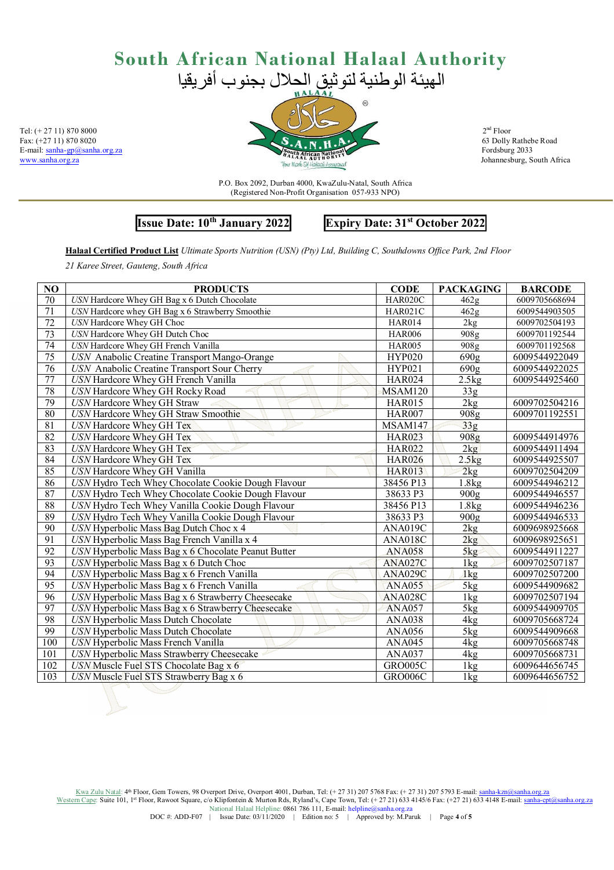

63 Dolly Rathebe Road

P.O. Box 2092, Durban 4000, KwaZulu-Natal, South Africa (Registered Non-Profit Organisation 057-933 NPO)

**Issue Date: 10th January 2022 Expiry Date: 31st October 2022** 

**Halaal Certified Product List** *Ultimate Sports Nutrition (USN) (Pty) Ltd, Building C, Southdowns Office Park, 2nd Floor* 

*21 Karee Street, Gauteng, South Africa* 

| N <sub>O</sub>  | <b>PRODUCTS</b>                                     | <b>CODE</b>   | <b>PACKAGING</b>  | <b>BARCODE</b> |
|-----------------|-----------------------------------------------------|---------------|-------------------|----------------|
| 70              | USN Hardcore Whey GH Bag x 6 Dutch Chocolate        | HAR020C       | 462g              | 6009705668694  |
| 71              | USN Hardcore whey GH Bag x 6 Strawberry Smoothie    | HAR021C       | 462 <sub>g</sub>  | 6009544903505  |
| 72              | USN Hardcore Whey GH Choc                           | <b>HAR014</b> | 2kg               | 6009702504193  |
| $\overline{73}$ | <b>USN</b> Hardcore Whey GH Dutch Choc              | <b>HAR006</b> | 908g              | 6009701192544  |
| $\overline{74}$ | USN Hardcore Whey GH French Vanilla                 | <b>HAR005</b> | 908 <sub>g</sub>  | 6009701192568  |
| 75              | USN Anabolic Creatine Transport Mango-Orange        | <b>HYP020</b> | 690g              | 6009544922049  |
| 76              | USN Anabolic Creatine Transport Sour Cherry         | <b>HYP021</b> | $\overline{690g}$ | 6009544922025  |
| $\overline{77}$ | USN Hardcore Whey GH French Vanilla                 | <b>HAR024</b> | 2.5kg             | 6009544925460  |
| 78              | USN Hardcore Whey GH Rocky Road                     | MSAM120       | 33 <sub>g</sub>   |                |
| 79              | USN Hardcore Whey GH Straw                          | <b>HAR015</b> | 2kg               | 6009702504216  |
| 80              | USN Hardcore Whey GH Straw Smoothie                 | <b>HAR007</b> | 908g              | 6009701192551  |
| $\overline{81}$ | USN Hardcore Whey GH Tex                            | MSAM147       | 33g               |                |
| $\overline{82}$ | USN Hardcore Whey GH Tex                            | <b>HAR023</b> | 908 <sub>g</sub>  | 6009544914976  |
| 83              | USN Hardcore Whey GH Tex                            | <b>HAR022</b> | 2kg               | 6009544911494  |
| 84              | USN Hardcore Whey GH Tex                            | <b>HAR026</b> | 2.5kg             | 6009544925507  |
| 85              | USN Hardcore Whey GH Vanilla                        | <b>HAR013</b> | 2kg               | 6009702504209  |
| $\overline{86}$ | USN Hydro Tech Whey Chocolate Cookie Dough Flavour  | 38456 P13     | 1.8kg             | 6009544946212  |
| 87              | USN Hydro Tech Whey Chocolate Cookie Dough Flavour  | 38633 P3      | 900 <sub>g</sub>  | 6009544946557  |
| $\overline{88}$ | USN Hydro Tech Whey Vanilla Cookie Dough Flavour    | 38456 P13     | 1.8kg             | 6009544946236  |
| 89              | USN Hydro Tech Whey Vanilla Cookie Dough Flavour    | 38633 P3      | 900 <sub>g</sub>  | 6009544946533  |
| 90              | USN Hyperbolic Mass Bag Dutch Choc x 4              | ANA019C       | 2kg               | 6009698925668  |
| $\overline{91}$ | USN Hyperbolic Mass Bag French Vanilla x 4          | ANA018C       | 2kg               | 6009698925651  |
| 92              | USN Hyperbolic Mass Bag x 6 Chocolate Peanut Butter | <b>ANA058</b> | 5kg               | 6009544911227  |
| $\overline{93}$ | USN Hyperbolic Mass Bag x 6 Dutch Choc              | ANA027C       | 1kg               | 6009702507187  |
| $\overline{94}$ | USN Hyperbolic Mass Bag x 6 French Vanilla          | ANA029C       | 1kg               | 6009702507200  |
| 95              | USN Hyperbolic Mass Bag x 6 French Vanilla          | <b>ANA055</b> | 5kg               | 6009544909682  |
| $\overline{96}$ | USN Hyperbolic Mass Bag x 6 Strawberry Cheesecake   | ANA028C       | 1kg               | 6009702507194  |
| 97              | USN Hyperbolic Mass Bag x 6 Strawberry Cheesecake   | ANA057        | 5kg               | 6009544909705  |
| $\overline{98}$ | USN Hyperbolic Mass Dutch Chocolate                 | <b>ANA038</b> | 4 <sub>kg</sub>   | 6009705668724  |
| 99              | USN Hyperbolic Mass Dutch Chocolate                 | <b>ANA056</b> | $\overline{5}$ kg | 6009544909668  |
| 100             | USN Hyperbolic Mass French Vanilla                  | <b>ANA045</b> | 4kg               | 6009705668748  |
| 101             | USN Hyperbolic Mass Strawberry Cheesecake           | <b>ANA037</b> | 4 <sub>kg</sub>   | 6009705668731  |
| 102             | USN Muscle Fuel STS Chocolate Bag x 6               | GRO005C       | 1kg               | 6009644656745  |
| 103             | USN Muscle Fuel STS Strawberry Bag x 6              | GRO006C       | 1kg               | 6009644656752  |